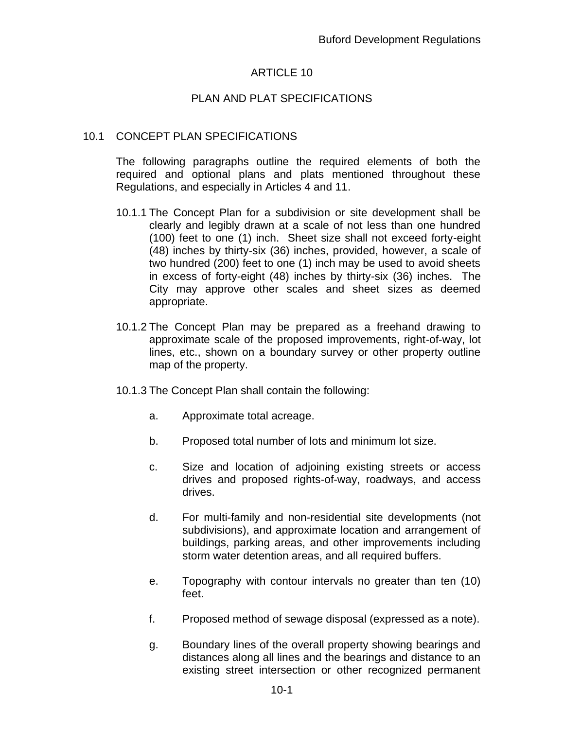## ARTICLE 10

## PLAN AND PLAT SPECIFICATIONS

#### 10.1 CONCEPT PLAN SPECIFICATIONS

The following paragraphs outline the required elements of both the required and optional plans and plats mentioned throughout these Regulations, and especially in Articles 4 and 11.

- 10.1.1 The Concept Plan for a subdivision or site development shall be clearly and legibly drawn at a scale of not less than one hundred (100) feet to one (1) inch. Sheet size shall not exceed forty-eight (48) inches by thirty-six (36) inches, provided, however, a scale of two hundred (200) feet to one (1) inch may be used to avoid sheets in excess of forty-eight (48) inches by thirty-six (36) inches. The City may approve other scales and sheet sizes as deemed appropriate.
- 10.1.2 The Concept Plan may be prepared as a freehand drawing to approximate scale of the proposed improvements, right-of-way, lot lines, etc., shown on a boundary survey or other property outline map of the property.
- 10.1.3 The Concept Plan shall contain the following:
	- a. Approximate total acreage.
	- b. Proposed total number of lots and minimum lot size.
	- c. Size and location of adjoining existing streets or access drives and proposed rights-of-way, roadways, and access drives.
	- d. For multi-family and non-residential site developments (not subdivisions), and approximate location and arrangement of buildings, parking areas, and other improvements including storm water detention areas, and all required buffers.
	- e. Topography with contour intervals no greater than ten (10) feet.
	- f. Proposed method of sewage disposal (expressed as a note).
	- g. Boundary lines of the overall property showing bearings and distances along all lines and the bearings and distance to an existing street intersection or other recognized permanent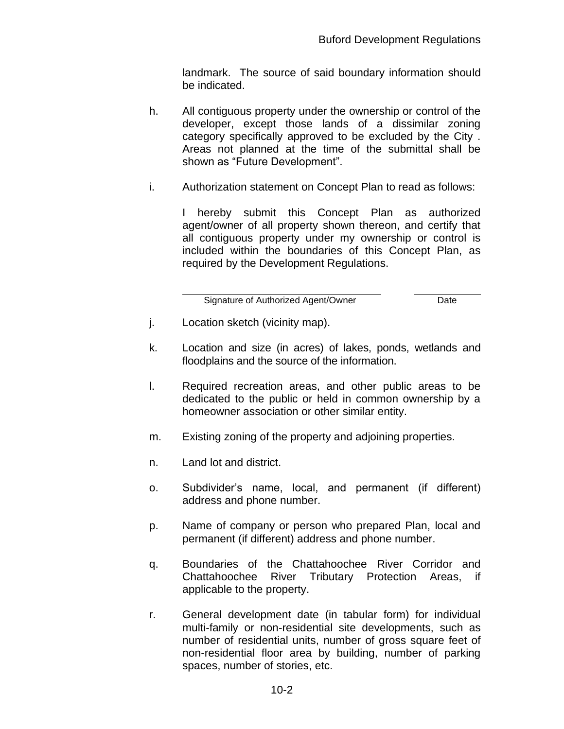landmark. The source of said boundary information should be indicated.

- h. All contiguous property under the ownership or control of the developer, except those lands of a dissimilar zoning category specifically approved to be excluded by the City . Areas not planned at the time of the submittal shall be shown as "Future Development".
- i. Authorization statement on Concept Plan to read as follows:

I hereby submit this Concept Plan as authorized agent/owner of all property shown thereon, and certify that all contiguous property under my ownership or control is included within the boundaries of this Concept Plan, as required by the Development Regulations.

Signature of Authorized Agent/Owner Date

- j. Location sketch (vicinity map).
- k. Location and size (in acres) of lakes, ponds, wetlands and floodplains and the source of the information.
- l. Required recreation areas, and other public areas to be dedicated to the public or held in common ownership by a homeowner association or other similar entity.
- m. Existing zoning of the property and adjoining properties.
- n. Land lot and district.
- o. Subdivider's name, local, and permanent (if different) address and phone number.
- p. Name of company or person who prepared Plan, local and permanent (if different) address and phone number.
- q. Boundaries of the Chattahoochee River Corridor and Chattahoochee River Tributary Protection Areas, if applicable to the property.
- r. General development date (in tabular form) for individual multi-family or non-residential site developments, such as number of residential units, number of gross square feet of non-residential floor area by building, number of parking spaces, number of stories, etc.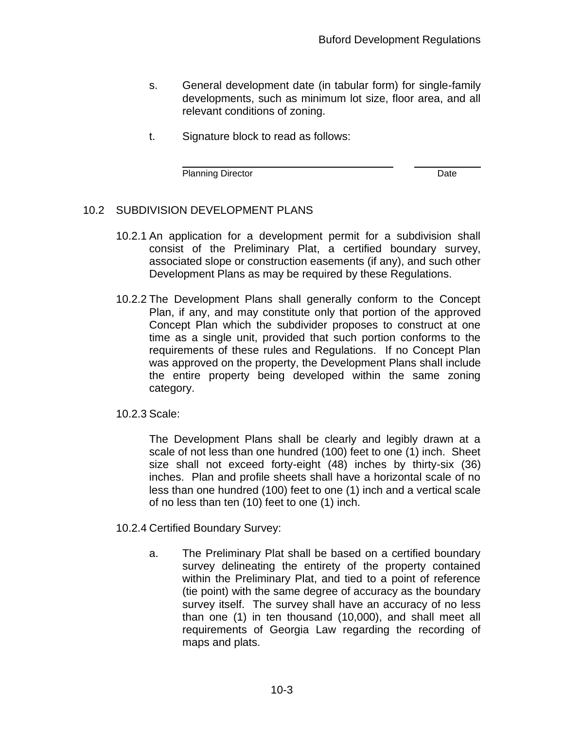$\overline{a}$ 

- s. General development date (in tabular form) for single-family developments, such as minimum lot size, floor area, and all relevant conditions of zoning.
- t. Signature block to read as follows:

Planning Director **Date** 

## 10.2 SUBDIVISION DEVELOPMENT PLANS

- 10.2.1 An application for a development permit for a subdivision shall consist of the Preliminary Plat, a certified boundary survey, associated slope or construction easements (if any), and such other Development Plans as may be required by these Regulations.
- 10.2.2 The Development Plans shall generally conform to the Concept Plan, if any, and may constitute only that portion of the approved Concept Plan which the subdivider proposes to construct at one time as a single unit, provided that such portion conforms to the requirements of these rules and Regulations. If no Concept Plan was approved on the property, the Development Plans shall include the entire property being developed within the same zoning category.

10.2.3 Scale:

The Development Plans shall be clearly and legibly drawn at a scale of not less than one hundred (100) feet to one (1) inch. Sheet size shall not exceed forty-eight (48) inches by thirty-six (36) inches. Plan and profile sheets shall have a horizontal scale of no less than one hundred (100) feet to one (1) inch and a vertical scale of no less than ten (10) feet to one (1) inch.

10.2.4 Certified Boundary Survey:

a. The Preliminary Plat shall be based on a certified boundary survey delineating the entirety of the property contained within the Preliminary Plat, and tied to a point of reference (tie point) with the same degree of accuracy as the boundary survey itself. The survey shall have an accuracy of no less than one (1) in ten thousand (10,000), and shall meet all requirements of Georgia Law regarding the recording of maps and plats.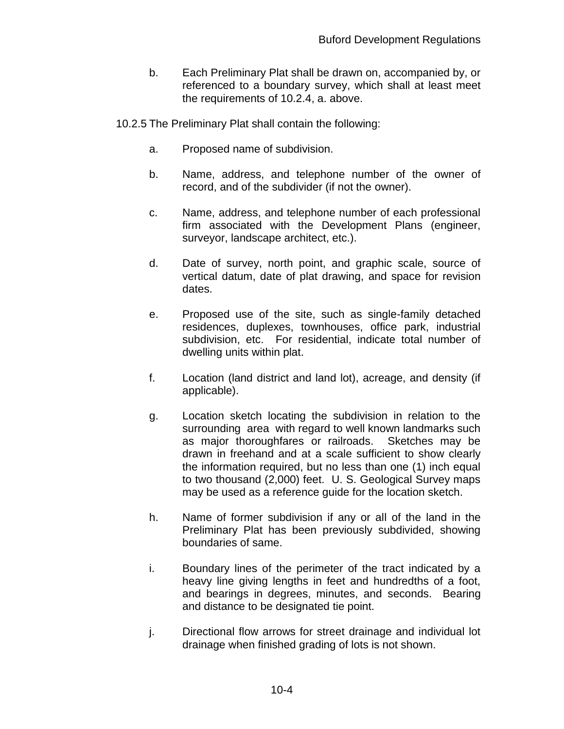- b. Each Preliminary Plat shall be drawn on, accompanied by, or referenced to a boundary survey, which shall at least meet the requirements of 10.2.4, a. above.
- 10.2.5 The Preliminary Plat shall contain the following:
	- a. Proposed name of subdivision.
	- b. Name, address, and telephone number of the owner of record, and of the subdivider (if not the owner).
	- c. Name, address, and telephone number of each professional firm associated with the Development Plans (engineer, surveyor, landscape architect, etc.).
	- d. Date of survey, north point, and graphic scale, source of vertical datum, date of plat drawing, and space for revision dates.
	- e. Proposed use of the site, such as single-family detached residences, duplexes, townhouses, office park, industrial subdivision, etc. For residential, indicate total number of dwelling units within plat.
	- f. Location (land district and land lot), acreage, and density (if applicable).
	- g. Location sketch locating the subdivision in relation to the surrounding area with regard to well known landmarks such as major thoroughfares or railroads. Sketches may be drawn in freehand and at a scale sufficient to show clearly the information required, but no less than one (1) inch equal to two thousand (2,000) feet. U. S. Geological Survey maps may be used as a reference guide for the location sketch.
	- h. Name of former subdivision if any or all of the land in the Preliminary Plat has been previously subdivided, showing boundaries of same.
	- i. Boundary lines of the perimeter of the tract indicated by a heavy line giving lengths in feet and hundredths of a foot, and bearings in degrees, minutes, and seconds. Bearing and distance to be designated tie point.
	- j. Directional flow arrows for street drainage and individual lot drainage when finished grading of lots is not shown.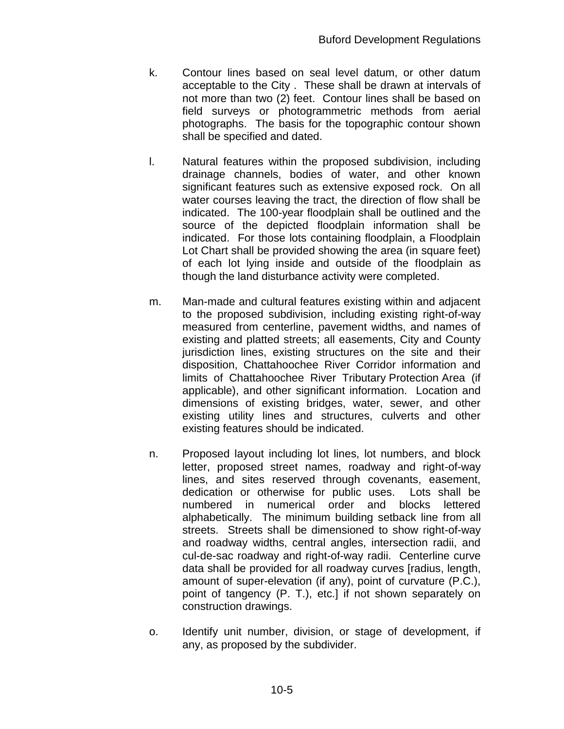- k. Contour lines based on seal level datum, or other datum acceptable to the City . These shall be drawn at intervals of not more than two (2) feet. Contour lines shall be based on field surveys or photogrammetric methods from aerial photographs. The basis for the topographic contour shown shall be specified and dated.
- l. Natural features within the proposed subdivision, including drainage channels, bodies of water, and other known significant features such as extensive exposed rock. On all water courses leaving the tract, the direction of flow shall be indicated. The 100-year floodplain shall be outlined and the source of the depicted floodplain information shall be indicated. For those lots containing floodplain, a Floodplain Lot Chart shall be provided showing the area (in square feet) of each lot lying inside and outside of the floodplain as though the land disturbance activity were completed.
- m. Man-made and cultural features existing within and adjacent to the proposed subdivision, including existing right-of-way measured from centerline, pavement widths, and names of existing and platted streets; all easements, City and County jurisdiction lines, existing structures on the site and their disposition, Chattahoochee River Corridor information and limits of Chattahoochee River Tributary Protection Area (if applicable), and other significant information. Location and dimensions of existing bridges, water, sewer, and other existing utility lines and structures, culverts and other existing features should be indicated.
- n. Proposed layout including lot lines, lot numbers, and block letter, proposed street names, roadway and right-of-way lines, and sites reserved through covenants, easement, dedication or otherwise for public uses. Lots shall be numbered in numerical order and blocks lettered alphabetically. The minimum building setback line from all streets. Streets shall be dimensioned to show right-of-way and roadway widths, central angles, intersection radii, and cul-de-sac roadway and right-of-way radii. Centerline curve data shall be provided for all roadway curves [radius, length, amount of super-elevation (if any), point of curvature (P.C.), point of tangency (P. T.), etc.] if not shown separately on construction drawings.
- o. Identify unit number, division, or stage of development, if any, as proposed by the subdivider.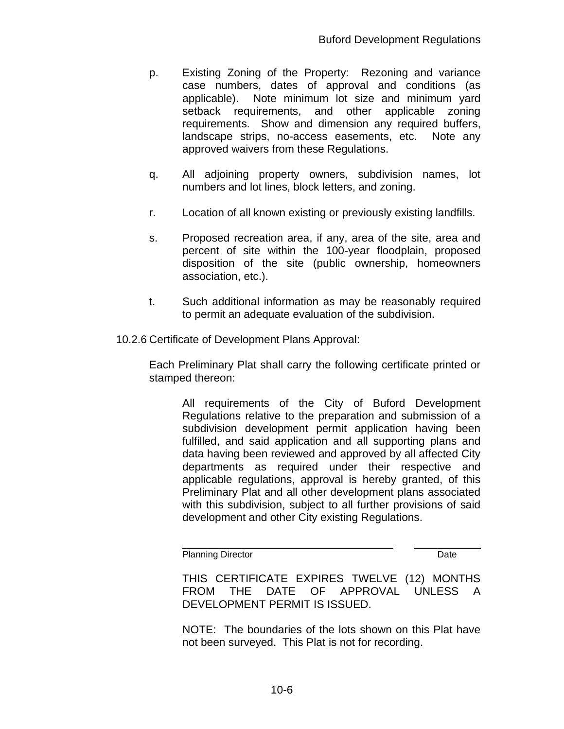- p. Existing Zoning of the Property: Rezoning and variance case numbers, dates of approval and conditions (as applicable). Note minimum lot size and minimum yard setback requirements, and other applicable zoning requirements. Show and dimension any required buffers, landscape strips, no-access easements, etc. Note any approved waivers from these Regulations.
- q. All adjoining property owners, subdivision names, lot numbers and lot lines, block letters, and zoning.
- r. Location of all known existing or previously existing landfills.
- s. Proposed recreation area, if any, area of the site, area and percent of site within the 100-year floodplain, proposed disposition of the site (public ownership, homeowners association, etc.).
- t. Such additional information as may be reasonably required to permit an adequate evaluation of the subdivision.
- 10.2.6 Certificate of Development Plans Approval:

Each Preliminary Plat shall carry the following certificate printed or stamped thereon:

> All requirements of the City of Buford Development Regulations relative to the preparation and submission of a subdivision development permit application having been fulfilled, and said application and all supporting plans and data having been reviewed and approved by all affected City departments as required under their respective and applicable regulations, approval is hereby granted, of this Preliminary Plat and all other development plans associated with this subdivision, subject to all further provisions of said development and other City existing Regulations.

Planning Director **Date** 

THIS CERTIFICATE EXPIRES TWELVE (12) MONTHS FROM THE DATE OF APPROVAL UNLESS A DEVELOPMENT PERMIT IS ISSUED.

 $\overline{a}$ 

NOTE: The boundaries of the lots shown on this Plat have not been surveyed. This Plat is not for recording.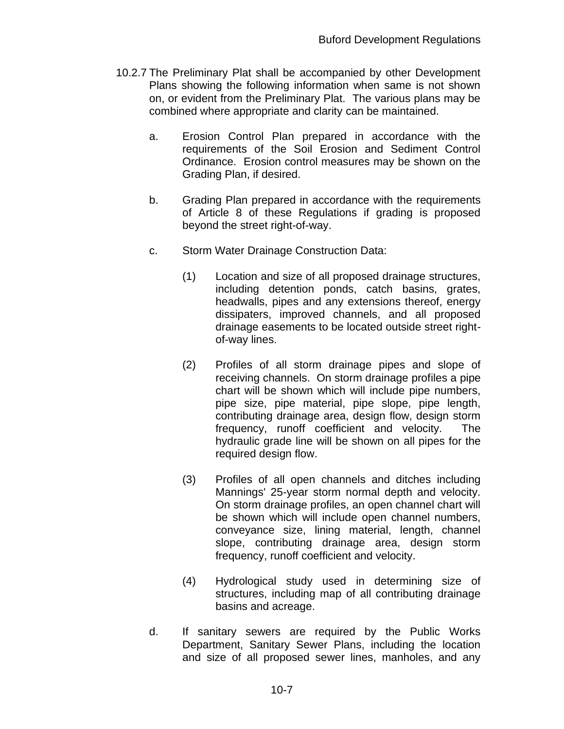- 10.2.7 The Preliminary Plat shall be accompanied by other Development Plans showing the following information when same is not shown on, or evident from the Preliminary Plat. The various plans may be combined where appropriate and clarity can be maintained.
	- a. Erosion Control Plan prepared in accordance with the requirements of the Soil Erosion and Sediment Control Ordinance. Erosion control measures may be shown on the Grading Plan, if desired.
	- b. Grading Plan prepared in accordance with the requirements of Article 8 of these Regulations if grading is proposed beyond the street right-of-way.
	- c. Storm Water Drainage Construction Data:
		- (1) Location and size of all proposed drainage structures, including detention ponds, catch basins, grates, headwalls, pipes and any extensions thereof, energy dissipaters, improved channels, and all proposed drainage easements to be located outside street rightof-way lines.
		- (2) Profiles of all storm drainage pipes and slope of receiving channels. On storm drainage profiles a pipe chart will be shown which will include pipe numbers, pipe size, pipe material, pipe slope, pipe length, contributing drainage area, design flow, design storm frequency, runoff coefficient and velocity. The hydraulic grade line will be shown on all pipes for the required design flow.
		- (3) Profiles of all open channels and ditches including Mannings' 25-year storm normal depth and velocity. On storm drainage profiles, an open channel chart will be shown which will include open channel numbers, conveyance size, lining material, length, channel slope, contributing drainage area, design storm frequency, runoff coefficient and velocity.
		- (4) Hydrological study used in determining size of structures, including map of all contributing drainage basins and acreage.
	- d. If sanitary sewers are required by the Public Works Department, Sanitary Sewer Plans, including the location and size of all proposed sewer lines, manholes, and any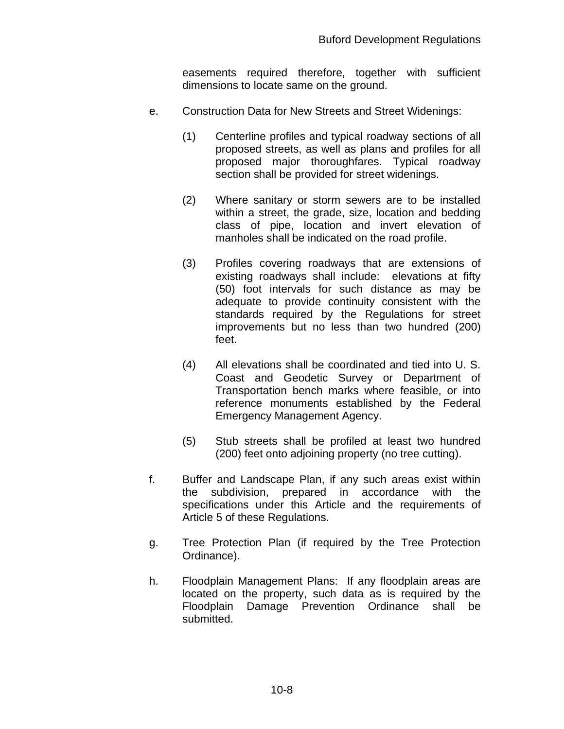easements required therefore, together with sufficient dimensions to locate same on the ground.

- e. Construction Data for New Streets and Street Widenings:
	- (1) Centerline profiles and typical roadway sections of all proposed streets, as well as plans and profiles for all proposed major thoroughfares. Typical roadway section shall be provided for street widenings.
	- (2) Where sanitary or storm sewers are to be installed within a street, the grade, size, location and bedding class of pipe, location and invert elevation of manholes shall be indicated on the road profile.
	- (3) Profiles covering roadways that are extensions of existing roadways shall include: elevations at fifty (50) foot intervals for such distance as may be adequate to provide continuity consistent with the standards required by the Regulations for street improvements but no less than two hundred (200) feet.
	- (4) All elevations shall be coordinated and tied into U. S. Coast and Geodetic Survey or Department of Transportation bench marks where feasible, or into reference monuments established by the Federal Emergency Management Agency.
	- (5) Stub streets shall be profiled at least two hundred (200) feet onto adjoining property (no tree cutting).
- f. Buffer and Landscape Plan, if any such areas exist within the subdivision, prepared in accordance with the specifications under this Article and the requirements of Article 5 of these Regulations.
- g. Tree Protection Plan (if required by the Tree Protection Ordinance).
- h. Floodplain Management Plans: If any floodplain areas are located on the property, such data as is required by the Floodplain Damage Prevention Ordinance shall be submitted.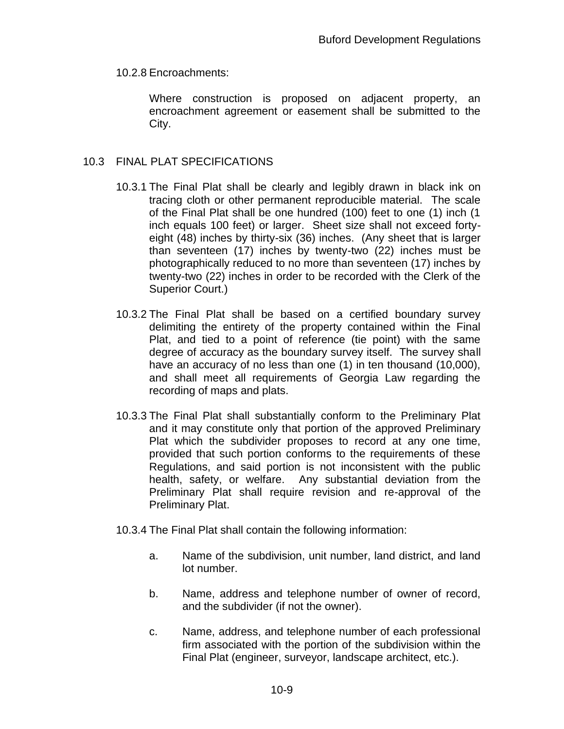10.2.8 Encroachments:

Where construction is proposed on adjacent property, an encroachment agreement or easement shall be submitted to the City.

## 10.3 FINAL PLAT SPECIFICATIONS

- 10.3.1 The Final Plat shall be clearly and legibly drawn in black ink on tracing cloth or other permanent reproducible material. The scale of the Final Plat shall be one hundred (100) feet to one (1) inch (1 inch equals 100 feet) or larger. Sheet size shall not exceed fortyeight (48) inches by thirty-six (36) inches. (Any sheet that is larger than seventeen (17) inches by twenty-two (22) inches must be photographically reduced to no more than seventeen (17) inches by twenty-two (22) inches in order to be recorded with the Clerk of the Superior Court.)
- 10.3.2 The Final Plat shall be based on a certified boundary survey delimiting the entirety of the property contained within the Final Plat, and tied to a point of reference (tie point) with the same degree of accuracy as the boundary survey itself. The survey shall have an accuracy of no less than one (1) in ten thousand (10,000), and shall meet all requirements of Georgia Law regarding the recording of maps and plats.
- 10.3.3 The Final Plat shall substantially conform to the Preliminary Plat and it may constitute only that portion of the approved Preliminary Plat which the subdivider proposes to record at any one time, provided that such portion conforms to the requirements of these Regulations, and said portion is not inconsistent with the public health, safety, or welfare. Any substantial deviation from the Preliminary Plat shall require revision and re-approval of the Preliminary Plat.
- 10.3.4 The Final Plat shall contain the following information:
	- a. Name of the subdivision, unit number, land district, and land lot number.
	- b. Name, address and telephone number of owner of record, and the subdivider (if not the owner).
	- c. Name, address, and telephone number of each professional firm associated with the portion of the subdivision within the Final Plat (engineer, surveyor, landscape architect, etc.).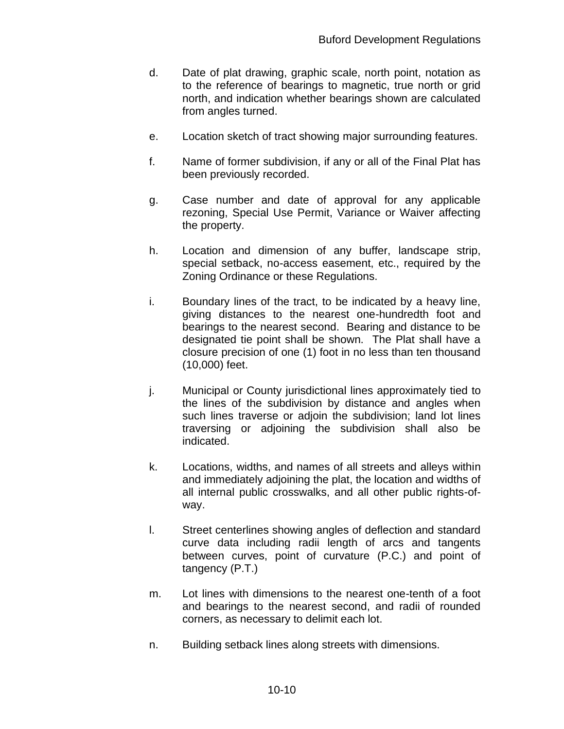- d. Date of plat drawing, graphic scale, north point, notation as to the reference of bearings to magnetic, true north or grid north, and indication whether bearings shown are calculated from angles turned.
- e. Location sketch of tract showing major surrounding features.
- f. Name of former subdivision, if any or all of the Final Plat has been previously recorded.
- g. Case number and date of approval for any applicable rezoning, Special Use Permit, Variance or Waiver affecting the property.
- h. Location and dimension of any buffer, landscape strip, special setback, no-access easement, etc., required by the Zoning Ordinance or these Regulations.
- i. Boundary lines of the tract, to be indicated by a heavy line, giving distances to the nearest one-hundredth foot and bearings to the nearest second. Bearing and distance to be designated tie point shall be shown. The Plat shall have a closure precision of one (1) foot in no less than ten thousand (10,000) feet.
- j. Municipal or County jurisdictional lines approximately tied to the lines of the subdivision by distance and angles when such lines traverse or adjoin the subdivision; land lot lines traversing or adjoining the subdivision shall also be indicated.
- k. Locations, widths, and names of all streets and alleys within and immediately adjoining the plat, the location and widths of all internal public crosswalks, and all other public rights-ofway.
- l. Street centerlines showing angles of deflection and standard curve data including radii length of arcs and tangents between curves, point of curvature (P.C.) and point of tangency (P.T.)
- m. Lot lines with dimensions to the nearest one-tenth of a foot and bearings to the nearest second, and radii of rounded corners, as necessary to delimit each lot.
- n. Building setback lines along streets with dimensions.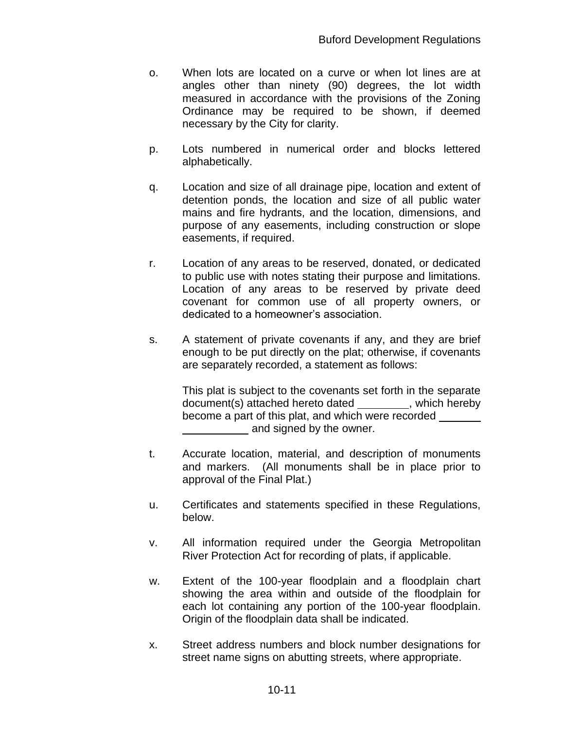- o. When lots are located on a curve or when lot lines are at angles other than ninety (90) degrees, the lot width measured in accordance with the provisions of the Zoning Ordinance may be required to be shown, if deemed necessary by the City for clarity.
- p. Lots numbered in numerical order and blocks lettered alphabetically.
- q. Location and size of all drainage pipe, location and extent of detention ponds, the location and size of all public water mains and fire hydrants, and the location, dimensions, and purpose of any easements, including construction or slope easements, if required.
- r. Location of any areas to be reserved, donated, or dedicated to public use with notes stating their purpose and limitations. Location of any areas to be reserved by private deed covenant for common use of all property owners, or dedicated to a homeowner's association.
- s. A statement of private covenants if any, and they are brief enough to be put directly on the plat; otherwise, if covenants are separately recorded, a statement as follows:

This plat is subject to the covenants set forth in the separate document(s) attached hereto dated \_\_\_\_\_\_\_\_\_, which hereby become a part of this plat, and which were recorded and signed by the owner.

- t. Accurate location, material, and description of monuments and markers. (All monuments shall be in place prior to approval of the Final Plat.)
- u. Certificates and statements specified in these Regulations, below.
- v. All information required under the Georgia Metropolitan River Protection Act for recording of plats, if applicable.
- w. Extent of the 100-year floodplain and a floodplain chart showing the area within and outside of the floodplain for each lot containing any portion of the 100-year floodplain. Origin of the floodplain data shall be indicated.
- x. Street address numbers and block number designations for street name signs on abutting streets, where appropriate.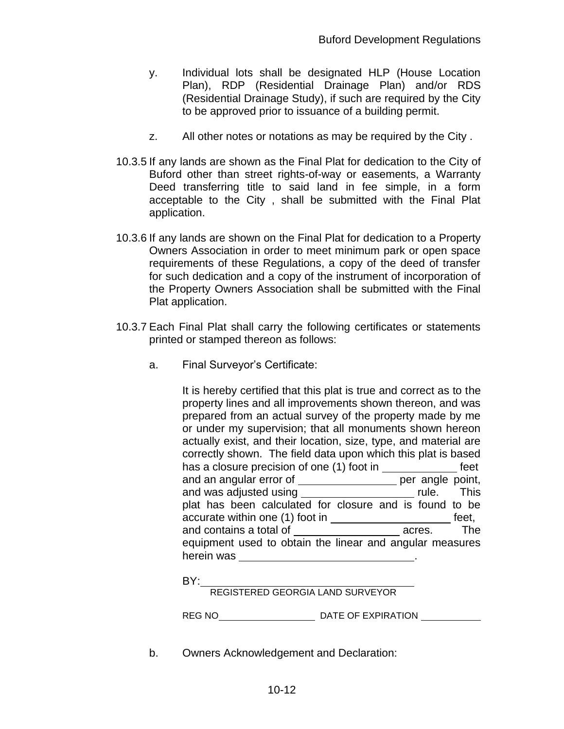- y. Individual lots shall be designated HLP (House Location Plan), RDP (Residential Drainage Plan) and/or RDS (Residential Drainage Study), if such are required by the City to be approved prior to issuance of a building permit.
- z. All other notes or notations as may be required by the City .
- 10.3.5 If any lands are shown as the Final Plat for dedication to the City of Buford other than street rights-of-way or easements, a Warranty Deed transferring title to said land in fee simple, in a form acceptable to the City , shall be submitted with the Final Plat application.
- 10.3.6 If any lands are shown on the Final Plat for dedication to a Property Owners Association in order to meet minimum park or open space requirements of these Regulations, a copy of the deed of transfer for such dedication and a copy of the instrument of incorporation of the Property Owners Association shall be submitted with the Final Plat application.
- 10.3.7 Each Final Plat shall carry the following certificates or statements printed or stamped thereon as follows:
	- a. Final Surveyor's Certificate:

It is hereby certified that this plat is true and correct as to the property lines and all improvements shown thereon, and was prepared from an actual survey of the property made by me or under my supervision; that all monuments shown hereon actually exist, and their location, size, type, and material are correctly shown. The field data upon which this plat is based has a closure precision of one (1) foot in **feet** feet and an angular error of **example 20** per angle point, and was adjusted using \_\_\_\_\_\_\_\_\_\_\_\_\_\_\_\_\_\_\_\_\_\_\_\_ rule. This plat has been calculated for closure and is found to be accurate within one (1) foot in **feet**, and contains a total of **acres** acres. The equipment used to obtain the linear and angular measures herein was .

BY:

REGISTERED GEORGIA LAND SURVEYOR

REG NO DATE OF EXPIRATION

b. Owners Acknowledgement and Declaration: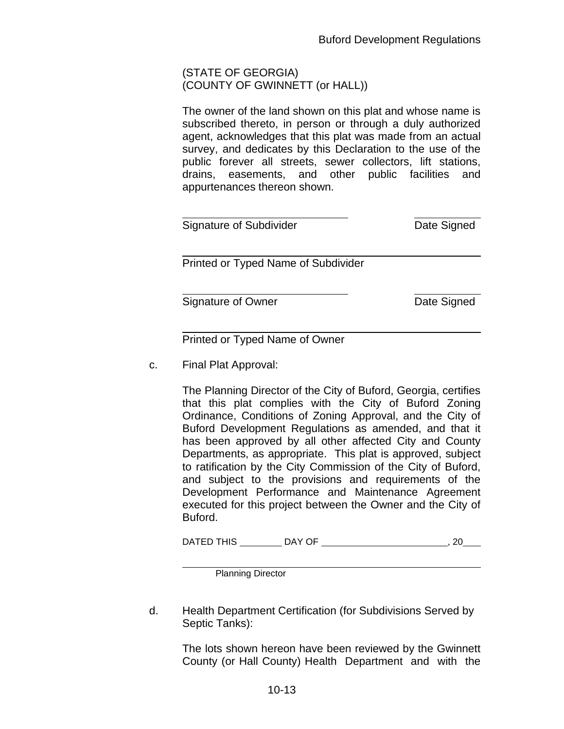#### (STATE OF GEORGIA) (COUNTY OF GWINNETT (or HALL))

The owner of the land shown on this plat and whose name is subscribed thereto, in person or through a duly authorized agent, acknowledges that this plat was made from an actual survey, and dedicates by this Declaration to the use of the public forever all streets, sewer collectors, lift stations, drains, easements, and other public facilities and appurtenances thereon shown.

| Signature of Subdivider             | Date Signed |
|-------------------------------------|-------------|
| Printed or Typed Name of Subdivider |             |
| Signature of Owner                  | Date Signed |

Printed or Typed Name of Owner

c. Final Plat Approval:

The Planning Director of the City of Buford, Georgia, certifies that this plat complies with the City of Buford Zoning Ordinance, Conditions of Zoning Approval, and the City of Buford Development Regulations as amended, and that it has been approved by all other affected City and County Departments, as appropriate. This plat is approved, subject to ratification by the City Commission of the City of Buford, and subject to the provisions and requirements of the Development Performance and Maintenance Agreement executed for this project between the Owner and the City of Buford.

| DAV OF<br>DATED THIS |  |
|----------------------|--|
|----------------------|--|

Planning Director

d. Health Department Certification (for Subdivisions Served by Septic Tanks):

> The lots shown hereon have been reviewed by the Gwinnett County (or Hall County) Health Department and with the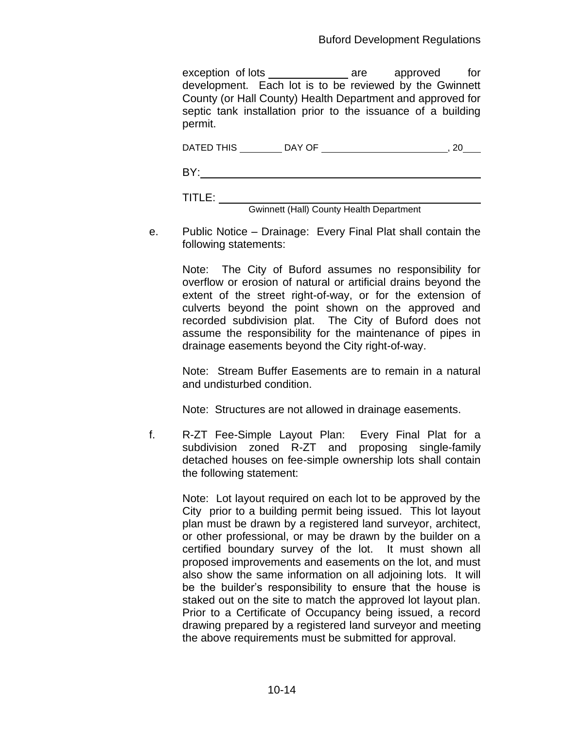exception of lots \_\_\_\_\_\_\_\_\_\_\_\_\_\_\_\_ are approved for development. Each lot is to be reviewed by the Gwinnett County (or Hall County) Health Department and approved for septic tank installation prior to the issuance of a building permit.

|  | DATED THIS | DAY OF |  |  |
|--|------------|--------|--|--|
|--|------------|--------|--|--|

BY: **Example 2018** Service and the contract of the contract of the contract of the contract of the contract of the contract of the contract of the contract of the contract of the contract of the contract of the contract of

TITLE:

Gwinnett (Hall) County Health Department

e. Public Notice – Drainage: Every Final Plat shall contain the following statements:

> Note: The City of Buford assumes no responsibility for overflow or erosion of natural or artificial drains beyond the extent of the street right-of-way, or for the extension of culverts beyond the point shown on the approved and recorded subdivision plat. The City of Buford does not assume the responsibility for the maintenance of pipes in drainage easements beyond the City right-of-way.

> Note: Stream Buffer Easements are to remain in a natural and undisturbed condition.

Note: Structures are not allowed in drainage easements.

f. R-ZT Fee-Simple Layout Plan: Every Final Plat for a subdivision zoned R-ZT and proposing single-family detached houses on fee-simple ownership lots shall contain the following statement:

Note: Lot layout required on each lot to be approved by the City prior to a building permit being issued. This lot layout plan must be drawn by a registered land surveyor, architect, or other professional, or may be drawn by the builder on a certified boundary survey of the lot. It must shown all proposed improvements and easements on the lot, and must also show the same information on all adjoining lots. It will be the builder's responsibility to ensure that the house is staked out on the site to match the approved lot layout plan. Prior to a Certificate of Occupancy being issued, a record drawing prepared by a registered land surveyor and meeting the above requirements must be submitted for approval.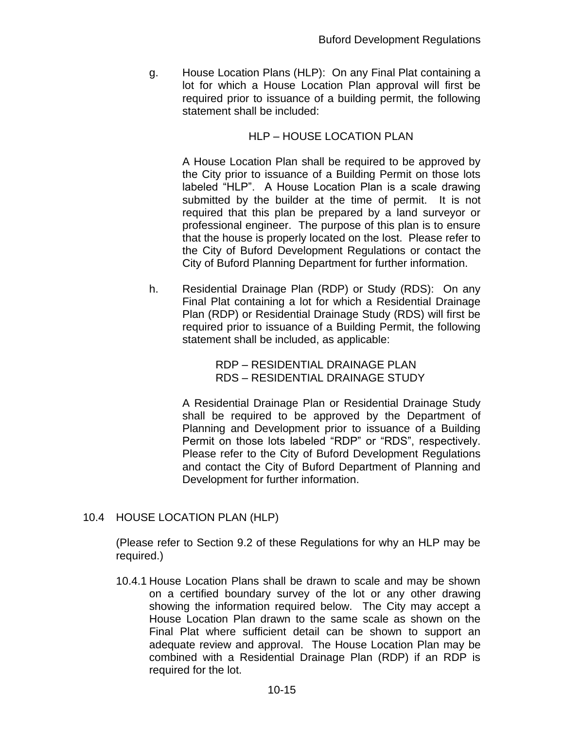g. House Location Plans (HLP): On any Final Plat containing a lot for which a House Location Plan approval will first be required prior to issuance of a building permit, the following statement shall be included:

#### HLP – HOUSE LOCATION PLAN

A House Location Plan shall be required to be approved by the City prior to issuance of a Building Permit on those lots labeled "HLP". A House Location Plan is a scale drawing submitted by the builder at the time of permit. It is not required that this plan be prepared by a land surveyor or professional engineer. The purpose of this plan is to ensure that the house is properly located on the lost. Please refer to the City of Buford Development Regulations or contact the City of Buford Planning Department for further information.

h. Residential Drainage Plan (RDP) or Study (RDS): On any Final Plat containing a lot for which a Residential Drainage Plan (RDP) or Residential Drainage Study (RDS) will first be required prior to issuance of a Building Permit, the following statement shall be included, as applicable:

> RDP – RESIDENTIAL DRAINAGE PLAN RDS – RESIDENTIAL DRAINAGE STUDY

A Residential Drainage Plan or Residential Drainage Study shall be required to be approved by the Department of Planning and Development prior to issuance of a Building Permit on those lots labeled "RDP" or "RDS", respectively. Please refer to the City of Buford Development Regulations and contact the City of Buford Department of Planning and Development for further information.

## 10.4 HOUSE LOCATION PLAN (HLP)

(Please refer to Section 9.2 of these Regulations for why an HLP may be required.)

10.4.1 House Location Plans shall be drawn to scale and may be shown on a certified boundary survey of the lot or any other drawing showing the information required below. The City may accept a House Location Plan drawn to the same scale as shown on the Final Plat where sufficient detail can be shown to support an adequate review and approval. The House Location Plan may be combined with a Residential Drainage Plan (RDP) if an RDP is required for the lot.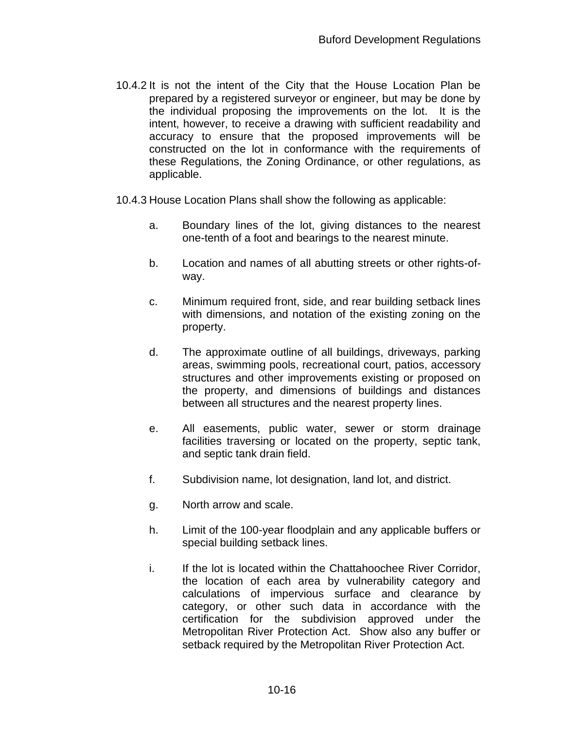- 10.4.2 It is not the intent of the City that the House Location Plan be prepared by a registered surveyor or engineer, but may be done by the individual proposing the improvements on the lot. It is the intent, however, to receive a drawing with sufficient readability and accuracy to ensure that the proposed improvements will be constructed on the lot in conformance with the requirements of these Regulations, the Zoning Ordinance, or other regulations, as applicable.
- 10.4.3 House Location Plans shall show the following as applicable:
	- a. Boundary lines of the lot, giving distances to the nearest one-tenth of a foot and bearings to the nearest minute.
	- b. Location and names of all abutting streets or other rights-ofway.
	- c. Minimum required front, side, and rear building setback lines with dimensions, and notation of the existing zoning on the property.
	- d. The approximate outline of all buildings, driveways, parking areas, swimming pools, recreational court, patios, accessory structures and other improvements existing or proposed on the property, and dimensions of buildings and distances between all structures and the nearest property lines.
	- e. All easements, public water, sewer or storm drainage facilities traversing or located on the property, septic tank, and septic tank drain field.
	- f. Subdivision name, lot designation, land lot, and district.
	- g. North arrow and scale.
	- h. Limit of the 100-year floodplain and any applicable buffers or special building setback lines.
	- i. If the lot is located within the Chattahoochee River Corridor, the location of each area by vulnerability category and calculations of impervious surface and clearance by category, or other such data in accordance with the certification for the subdivision approved under the Metropolitan River Protection Act. Show also any buffer or setback required by the Metropolitan River Protection Act.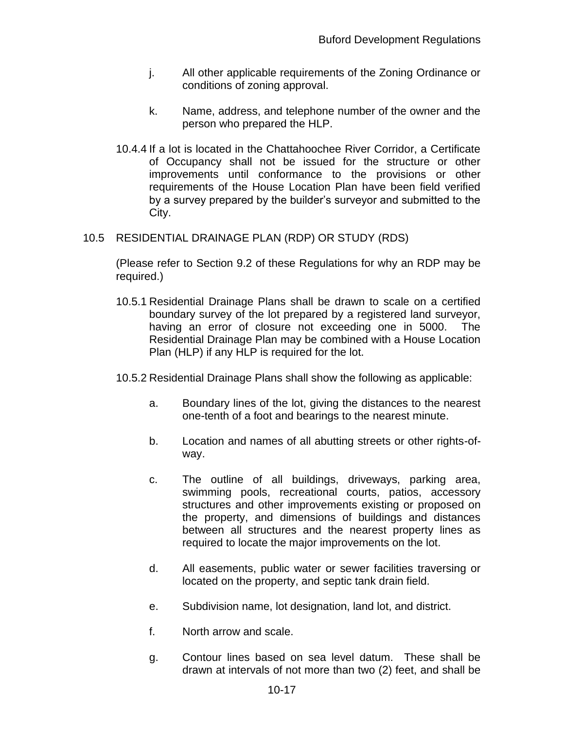- j. All other applicable requirements of the Zoning Ordinance or conditions of zoning approval.
- k. Name, address, and telephone number of the owner and the person who prepared the HLP.
- 10.4.4 If a lot is located in the Chattahoochee River Corridor, a Certificate of Occupancy shall not be issued for the structure or other improvements until conformance to the provisions or other requirements of the House Location Plan have been field verified by a survey prepared by the builder's surveyor and submitted to the City.

# 10.5 RESIDENTIAL DRAINAGE PLAN (RDP) OR STUDY (RDS)

(Please refer to Section 9.2 of these Regulations for why an RDP may be required.)

- 10.5.1 Residential Drainage Plans shall be drawn to scale on a certified boundary survey of the lot prepared by a registered land surveyor, having an error of closure not exceeding one in 5000. The Residential Drainage Plan may be combined with a House Location Plan (HLP) if any HLP is required for the lot.
- 10.5.2 Residential Drainage Plans shall show the following as applicable:
	- a. Boundary lines of the lot, giving the distances to the nearest one-tenth of a foot and bearings to the nearest minute.
	- b. Location and names of all abutting streets or other rights-ofway.
	- c. The outline of all buildings, driveways, parking area, swimming pools, recreational courts, patios, accessory structures and other improvements existing or proposed on the property, and dimensions of buildings and distances between all structures and the nearest property lines as required to locate the major improvements on the lot.
	- d. All easements, public water or sewer facilities traversing or located on the property, and septic tank drain field.
	- e. Subdivision name, lot designation, land lot, and district.
	- f. North arrow and scale.
	- g. Contour lines based on sea level datum. These shall be drawn at intervals of not more than two (2) feet, and shall be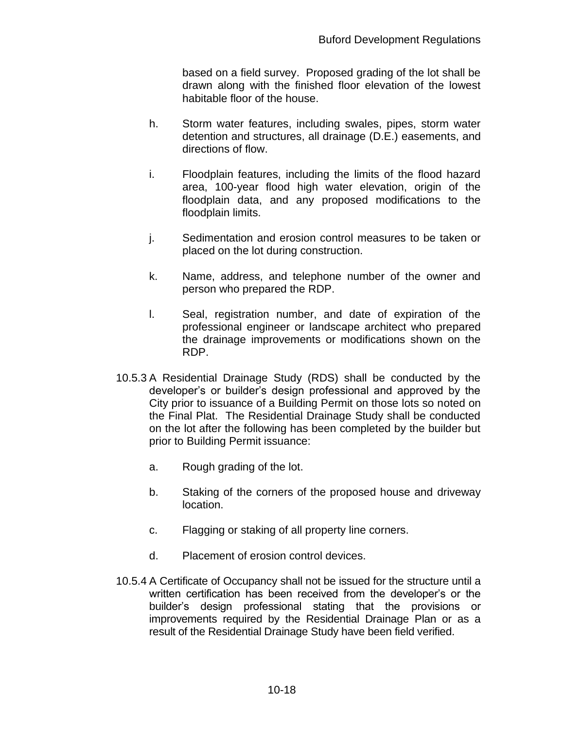based on a field survey. Proposed grading of the lot shall be drawn along with the finished floor elevation of the lowest habitable floor of the house.

- h. Storm water features, including swales, pipes, storm water detention and structures, all drainage (D.E.) easements, and directions of flow.
- i. Floodplain features, including the limits of the flood hazard area, 100-year flood high water elevation, origin of the floodplain data, and any proposed modifications to the floodplain limits.
- j. Sedimentation and erosion control measures to be taken or placed on the lot during construction.
- k. Name, address, and telephone number of the owner and person who prepared the RDP.
- l. Seal, registration number, and date of expiration of the professional engineer or landscape architect who prepared the drainage improvements or modifications shown on the RDP.
- 10.5.3 A Residential Drainage Study (RDS) shall be conducted by the developer's or builder's design professional and approved by the City prior to issuance of a Building Permit on those lots so noted on the Final Plat. The Residential Drainage Study shall be conducted on the lot after the following has been completed by the builder but prior to Building Permit issuance:
	- a. Rough grading of the lot.
	- b. Staking of the corners of the proposed house and driveway location.
	- c. Flagging or staking of all property line corners.
	- d. Placement of erosion control devices.
- 10.5.4 A Certificate of Occupancy shall not be issued for the structure until a written certification has been received from the developer's or the builder's design professional stating that the provisions or improvements required by the Residential Drainage Plan or as a result of the Residential Drainage Study have been field verified.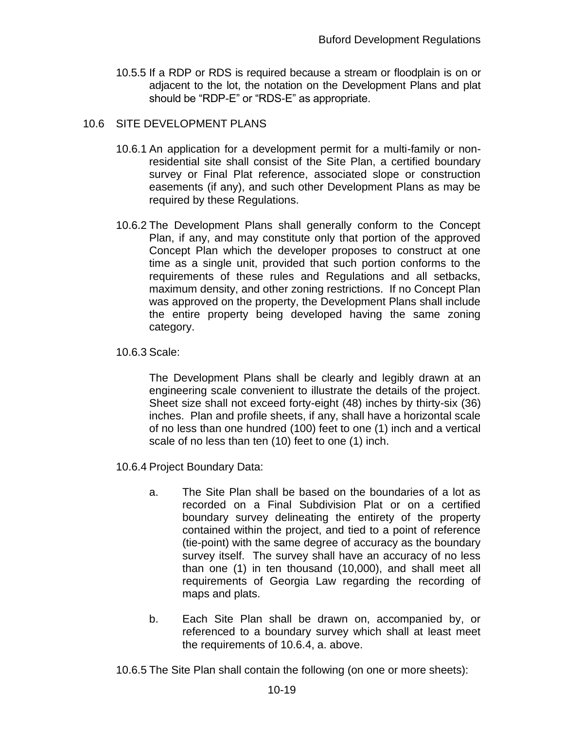10.5.5 If a RDP or RDS is required because a stream or floodplain is on or adjacent to the lot, the notation on the Development Plans and plat should be "RDP-E" or "RDS-E" as appropriate.

#### 10.6 SITE DEVELOPMENT PLANS

- 10.6.1 An application for a development permit for a multi-family or nonresidential site shall consist of the Site Plan, a certified boundary survey or Final Plat reference, associated slope or construction easements (if any), and such other Development Plans as may be required by these Regulations.
- 10.6.2 The Development Plans shall generally conform to the Concept Plan, if any, and may constitute only that portion of the approved Concept Plan which the developer proposes to construct at one time as a single unit, provided that such portion conforms to the requirements of these rules and Regulations and all setbacks, maximum density, and other zoning restrictions. If no Concept Plan was approved on the property, the Development Plans shall include the entire property being developed having the same zoning category.
- 10.6.3 Scale:

The Development Plans shall be clearly and legibly drawn at an engineering scale convenient to illustrate the details of the project. Sheet size shall not exceed forty-eight (48) inches by thirty-six (36) inches. Plan and profile sheets, if any, shall have a horizontal scale of no less than one hundred (100) feet to one (1) inch and a vertical scale of no less than ten (10) feet to one (1) inch.

- 10.6.4 Project Boundary Data:
	- a. The Site Plan shall be based on the boundaries of a lot as recorded on a Final Subdivision Plat or on a certified boundary survey delineating the entirety of the property contained within the project, and tied to a point of reference (tie-point) with the same degree of accuracy as the boundary survey itself. The survey shall have an accuracy of no less than one (1) in ten thousand (10,000), and shall meet all requirements of Georgia Law regarding the recording of maps and plats.
	- b. Each Site Plan shall be drawn on, accompanied by, or referenced to a boundary survey which shall at least meet the requirements of 10.6.4, a. above.
- 10.6.5 The Site Plan shall contain the following (on one or more sheets):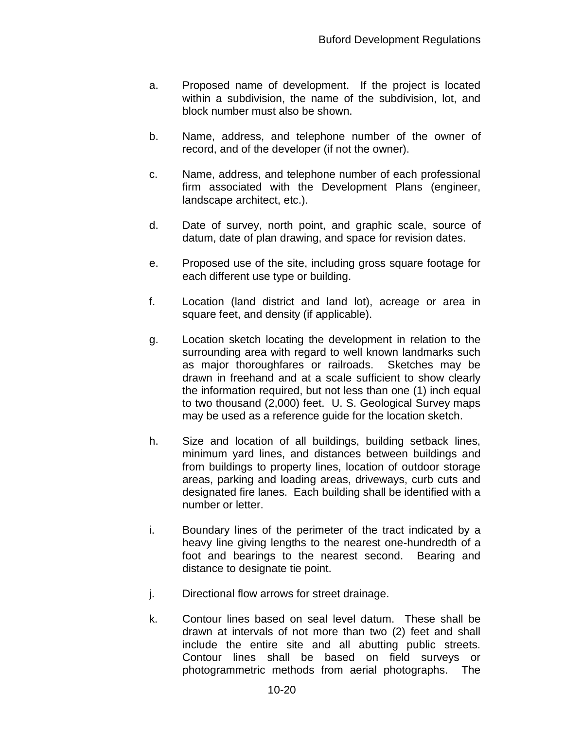- a. Proposed name of development. If the project is located within a subdivision, the name of the subdivision, lot, and block number must also be shown.
- b. Name, address, and telephone number of the owner of record, and of the developer (if not the owner).
- c. Name, address, and telephone number of each professional firm associated with the Development Plans (engineer, landscape architect, etc.).
- d. Date of survey, north point, and graphic scale, source of datum, date of plan drawing, and space for revision dates.
- e. Proposed use of the site, including gross square footage for each different use type or building.
- f. Location (land district and land lot), acreage or area in square feet, and density (if applicable).
- g. Location sketch locating the development in relation to the surrounding area with regard to well known landmarks such as major thoroughfares or railroads. Sketches may be drawn in freehand and at a scale sufficient to show clearly the information required, but not less than one (1) inch equal to two thousand (2,000) feet. U. S. Geological Survey maps may be used as a reference guide for the location sketch.
- h. Size and location of all buildings, building setback lines, minimum yard lines, and distances between buildings and from buildings to property lines, location of outdoor storage areas, parking and loading areas, driveways, curb cuts and designated fire lanes. Each building shall be identified with a number or letter.
- i. Boundary lines of the perimeter of the tract indicated by a heavy line giving lengths to the nearest one-hundredth of a foot and bearings to the nearest second. Bearing and distance to designate tie point.
- j. Directional flow arrows for street drainage.
- k. Contour lines based on seal level datum. These shall be drawn at intervals of not more than two (2) feet and shall include the entire site and all abutting public streets. Contour lines shall be based on field surveys or photogrammetric methods from aerial photographs. The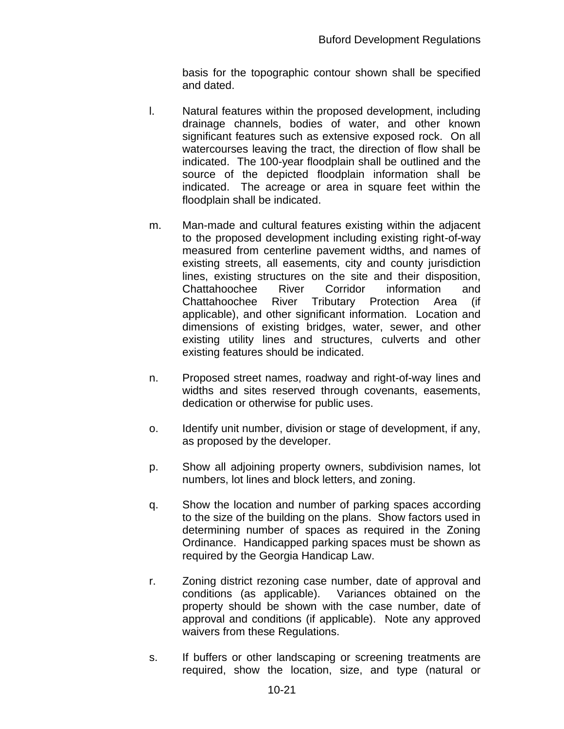basis for the topographic contour shown shall be specified and dated.

- l. Natural features within the proposed development, including drainage channels, bodies of water, and other known significant features such as extensive exposed rock. On all watercourses leaving the tract, the direction of flow shall be indicated. The 100-year floodplain shall be outlined and the source of the depicted floodplain information shall be indicated. The acreage or area in square feet within the floodplain shall be indicated.
- m. Man-made and cultural features existing within the adjacent to the proposed development including existing right-of-way measured from centerline pavement widths, and names of existing streets, all easements, city and county jurisdiction lines, existing structures on the site and their disposition, Chattahoochee River Corridor information and Chattahoochee River Tributary Protection Area (if applicable), and other significant information. Location and dimensions of existing bridges, water, sewer, and other existing utility lines and structures, culverts and other existing features should be indicated.
- n. Proposed street names, roadway and right-of-way lines and widths and sites reserved through covenants, easements, dedication or otherwise for public uses.
- o. Identify unit number, division or stage of development, if any, as proposed by the developer.
- p. Show all adjoining property owners, subdivision names, lot numbers, lot lines and block letters, and zoning.
- q. Show the location and number of parking spaces according to the size of the building on the plans. Show factors used in determining number of spaces as required in the Zoning Ordinance. Handicapped parking spaces must be shown as required by the Georgia Handicap Law.
- r. Zoning district rezoning case number, date of approval and conditions (as applicable). Variances obtained on the property should be shown with the case number, date of approval and conditions (if applicable). Note any approved waivers from these Regulations.
- s. If buffers or other landscaping or screening treatments are required, show the location, size, and type (natural or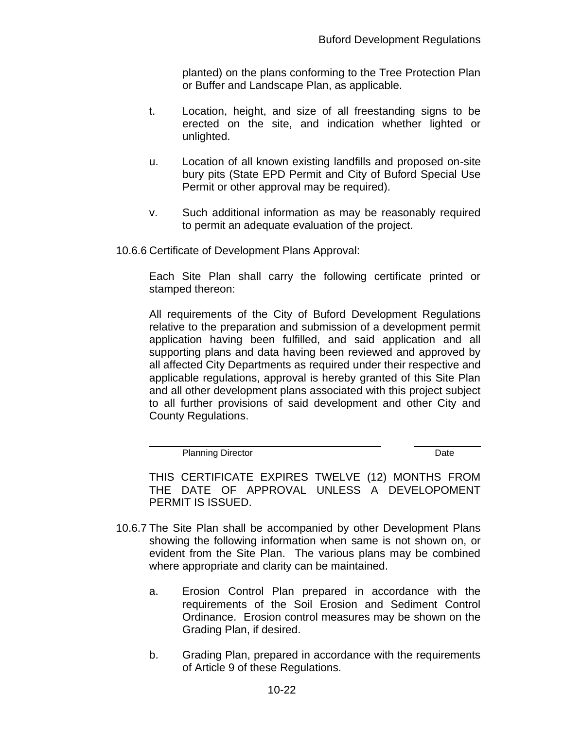planted) on the plans conforming to the Tree Protection Plan or Buffer and Landscape Plan, as applicable.

- t. Location, height, and size of all freestanding signs to be erected on the site, and indication whether lighted or unlighted.
- u. Location of all known existing landfills and proposed on-site bury pits (State EPD Permit and City of Buford Special Use Permit or other approval may be required).
- v. Such additional information as may be reasonably required to permit an adequate evaluation of the project.

10.6.6 Certificate of Development Plans Approval:

Each Site Plan shall carry the following certificate printed or stamped thereon:

All requirements of the City of Buford Development Regulations relative to the preparation and submission of a development permit application having been fulfilled, and said application and all supporting plans and data having been reviewed and approved by all affected City Departments as required under their respective and applicable regulations, approval is hereby granted of this Site Plan and all other development plans associated with this project subject to all further provisions of said development and other City and County Regulations.

Planning Director **Date** 

THIS CERTIFICATE EXPIRES TWELVE (12) MONTHS FROM THE DATE OF APPROVAL UNLESS A DEVELOPOMENT PERMIT IS ISSUED.

- 10.6.7 The Site Plan shall be accompanied by other Development Plans showing the following information when same is not shown on, or evident from the Site Plan. The various plans may be combined where appropriate and clarity can be maintained.
	- a. Erosion Control Plan prepared in accordance with the requirements of the Soil Erosion and Sediment Control Ordinance. Erosion control measures may be shown on the Grading Plan, if desired.
	- b. Grading Plan, prepared in accordance with the requirements of Article 9 of these Regulations.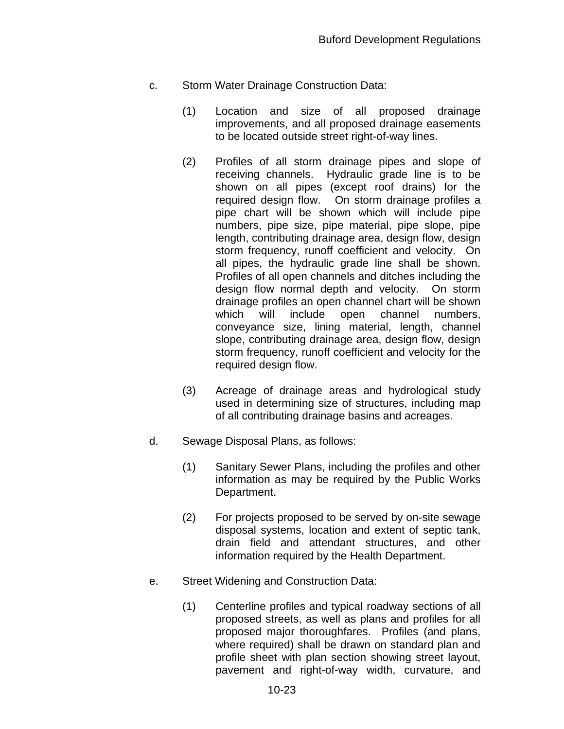- c. Storm Water Drainage Construction Data:
	- (1) Location and size of all proposed drainage improvements, and all proposed drainage easements to be located outside street right-of-way lines.
	- (2) Profiles of all storm drainage pipes and slope of receiving channels. Hydraulic grade line is to be shown on all pipes (except roof drains) for the required design flow. On storm drainage profiles a pipe chart will be shown which will include pipe numbers, pipe size, pipe material, pipe slope, pipe length, contributing drainage area, design flow, design storm frequency, runoff coefficient and velocity. On all pipes, the hydraulic grade line shall be shown. Profiles of all open channels and ditches including the design flow normal depth and velocity. On storm drainage profiles an open channel chart will be shown which will include open channel numbers, conveyance size, lining material, length, channel slope, contributing drainage area, design flow, design storm frequency, runoff coefficient and velocity for the required design flow.
	- (3) Acreage of drainage areas and hydrological study used in determining size of structures, including map of all contributing drainage basins and acreages.
- d. Sewage Disposal Plans, as follows:
	- (1) Sanitary Sewer Plans, including the profiles and other information as may be required by the Public Works Department.
	- (2) For projects proposed to be served by on-site sewage disposal systems, location and extent of septic tank, drain field and attendant structures, and other information required by the Health Department.
- e. Street Widening and Construction Data:
	- (1) Centerline profiles and typical roadway sections of all proposed streets, as well as plans and profiles for all proposed major thoroughfares. Profiles (and plans, where required) shall be drawn on standard plan and profile sheet with plan section showing street layout, pavement and right-of-way width, curvature, and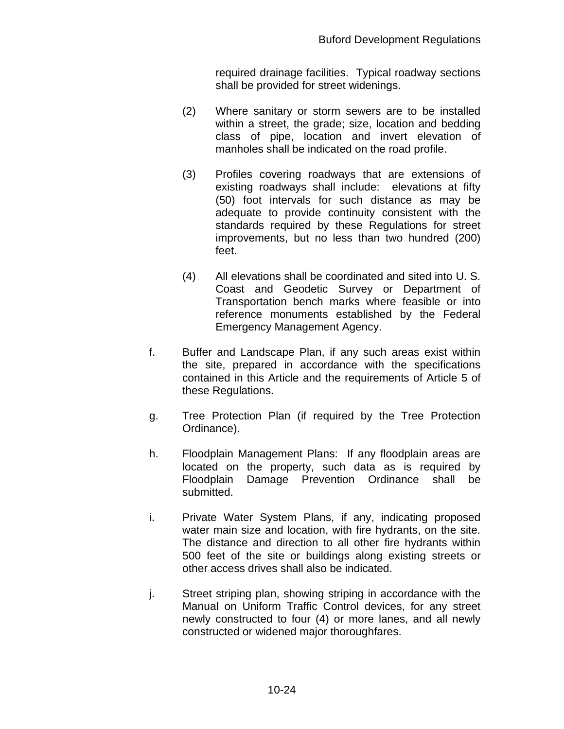required drainage facilities. Typical roadway sections shall be provided for street widenings.

- (2) Where sanitary or storm sewers are to be installed within a street, the grade; size, location and bedding class of pipe, location and invert elevation of manholes shall be indicated on the road profile.
- (3) Profiles covering roadways that are extensions of existing roadways shall include: elevations at fifty (50) foot intervals for such distance as may be adequate to provide continuity consistent with the standards required by these Regulations for street improvements, but no less than two hundred (200) feet.
- (4) All elevations shall be coordinated and sited into U. S. Coast and Geodetic Survey or Department of Transportation bench marks where feasible or into reference monuments established by the Federal Emergency Management Agency.
- f. Buffer and Landscape Plan, if any such areas exist within the site, prepared in accordance with the specifications contained in this Article and the requirements of Article 5 of these Regulations.
- g. Tree Protection Plan (if required by the Tree Protection Ordinance).
- h. Floodplain Management Plans: If any floodplain areas are located on the property, such data as is required by Floodplain Damage Prevention Ordinance shall be submitted.
- i. Private Water System Plans, if any, indicating proposed water main size and location, with fire hydrants, on the site. The distance and direction to all other fire hydrants within 500 feet of the site or buildings along existing streets or other access drives shall also be indicated.
- j. Street striping plan, showing striping in accordance with the Manual on Uniform Traffic Control devices, for any street newly constructed to four (4) or more lanes, and all newly constructed or widened major thoroughfares.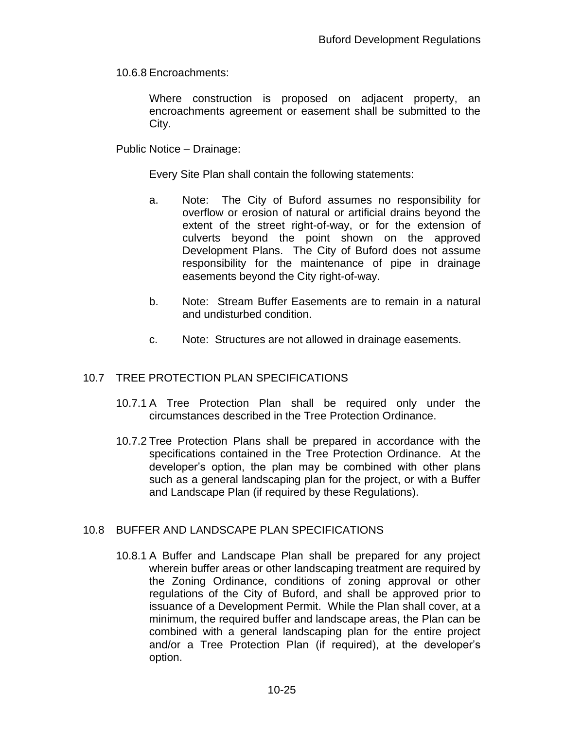10.6.8 Encroachments:

Where construction is proposed on adjacent property, an encroachments agreement or easement shall be submitted to the City.

Public Notice – Drainage:

Every Site Plan shall contain the following statements:

- a. Note: The City of Buford assumes no responsibility for overflow or erosion of natural or artificial drains beyond the extent of the street right-of-way, or for the extension of culverts beyond the point shown on the approved Development Plans. The City of Buford does not assume responsibility for the maintenance of pipe in drainage easements beyond the City right-of-way.
- b. Note: Stream Buffer Easements are to remain in a natural and undisturbed condition.
- c. Note: Structures are not allowed in drainage easements.

#### 10.7 TREE PROTECTION PLAN SPECIFICATIONS

- 10.7.1 A Tree Protection Plan shall be required only under the circumstances described in the Tree Protection Ordinance.
- 10.7.2 Tree Protection Plans shall be prepared in accordance with the specifications contained in the Tree Protection Ordinance. At the developer's option, the plan may be combined with other plans such as a general landscaping plan for the project, or with a Buffer and Landscape Plan (if required by these Regulations).

#### 10.8 BUFFER AND LANDSCAPE PLAN SPECIFICATIONS

10.8.1 A Buffer and Landscape Plan shall be prepared for any project wherein buffer areas or other landscaping treatment are required by the Zoning Ordinance, conditions of zoning approval or other regulations of the City of Buford, and shall be approved prior to issuance of a Development Permit. While the Plan shall cover, at a minimum, the required buffer and landscape areas, the Plan can be combined with a general landscaping plan for the entire project and/or a Tree Protection Plan (if required), at the developer's option.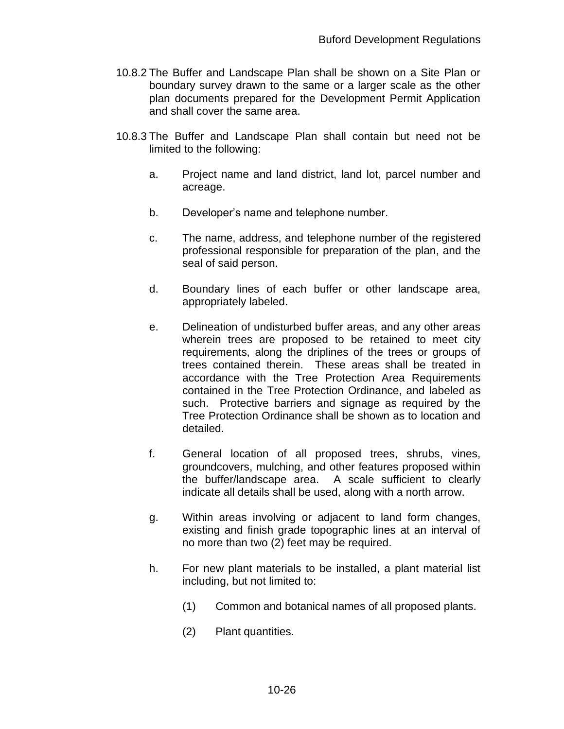- 10.8.2 The Buffer and Landscape Plan shall be shown on a Site Plan or boundary survey drawn to the same or a larger scale as the other plan documents prepared for the Development Permit Application and shall cover the same area.
- 10.8.3 The Buffer and Landscape Plan shall contain but need not be limited to the following:
	- a. Project name and land district, land lot, parcel number and acreage.
	- b. Developer's name and telephone number.
	- c. The name, address, and telephone number of the registered professional responsible for preparation of the plan, and the seal of said person.
	- d. Boundary lines of each buffer or other landscape area, appropriately labeled.
	- e. Delineation of undisturbed buffer areas, and any other areas wherein trees are proposed to be retained to meet city requirements, along the driplines of the trees or groups of trees contained therein. These areas shall be treated in accordance with the Tree Protection Area Requirements contained in the Tree Protection Ordinance, and labeled as such. Protective barriers and signage as required by the Tree Protection Ordinance shall be shown as to location and detailed.
	- f. General location of all proposed trees, shrubs, vines, groundcovers, mulching, and other features proposed within the buffer/landscape area. A scale sufficient to clearly indicate all details shall be used, along with a north arrow.
	- g. Within areas involving or adjacent to land form changes, existing and finish grade topographic lines at an interval of no more than two (2) feet may be required.
	- h. For new plant materials to be installed, a plant material list including, but not limited to:
		- (1) Common and botanical names of all proposed plants.
		- (2) Plant quantities.